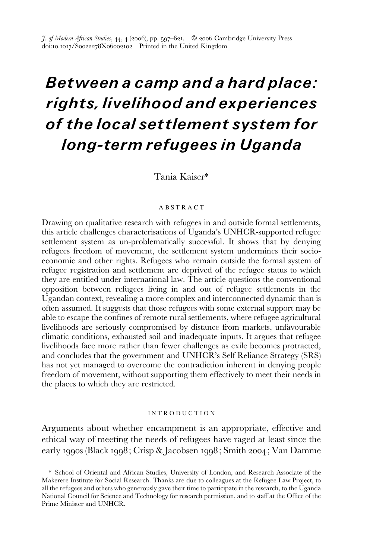# Between a camp and a hard place: rights, livelihood and experiences of the local settlement system for long-term refugees in Uganda

Tania Kaiser\*

### ABSTRACT

Drawing on qualitative research with refugees in and outside formal settlements, this article challenges characterisations of Uganda's UNHCR-supported refugee settlement system as un-problematically successful. It shows that by denying refugees freedom of movement, the settlement system undermines their socioeconomic and other rights. Refugees who remain outside the formal system of refugee registration and settlement are deprived of the refugee status to which they are entitled under international law. The article questions the conventional opposition between refugees living in and out of refugee settlements in the Ugandan context, revealing a more complex and interconnected dynamic than is often assumed. It suggests that those refugees with some external support may be able to escape the confines of remote rural settlements, where refugee agricultural livelihoods are seriously compromised by distance from markets, unfavourable climatic conditions, exhausted soil and inadequate inputs. It argues that refugee livelihoods face more rather than fewer challenges as exile becomes protracted, and concludes that the government and UNHCR's Self Reliance Strategy (SRS) has not yet managed to overcome the contradiction inherent in denying people freedom of movement, without supporting them effectively to meet their needs in the places to which they are restricted.

# INTRODUCTION

Arguments about whether encampment is an appropriate, effective and ethical way of meeting the needs of refugees have raged at least since the early 1990s (Black 1998; Crisp & Jacobsen 1998; Smith 2004; Van Damme

<sup>\*</sup> School of Oriental and African Studies, University of London, and Research Associate of the Makerere Institute for Social Research. Thanks are due to colleagues at the Refugee Law Project, to all the refugees and others who generously gave their time to participate in the research, to the Uganda National Council for Science and Technology for research permission, and to staff at the Office of the Prime Minister and UNHCR.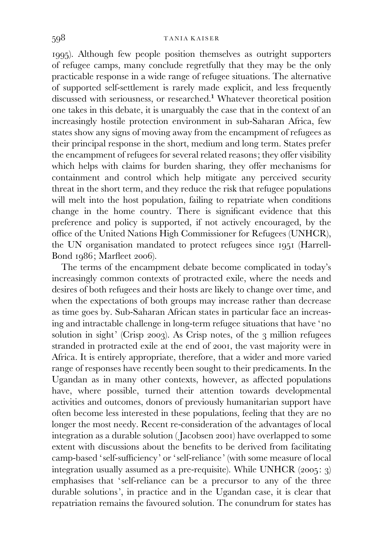1995). Although few people position themselves as outright supporters of refugee camps, many conclude regretfully that they may be the only practicable response in a wide range of refugee situations. The alternative of supported self-settlement is rarely made explicit, and less frequently discussed with seriousness, or researched.<sup>1</sup> Whatever theoretical position one takes in this debate, it is unarguably the case that in the context of an increasingly hostile protection environment in sub-Saharan Africa, few states show any signs of moving away from the encampment of refugees as their principal response in the short, medium and long term. States prefer the encampment of refugees for several related reasons; they offer visibility which helps with claims for burden sharing, they offer mechanisms for containment and control which help mitigate any perceived security threat in the short term, and they reduce the risk that refugee populations will melt into the host population, failing to repatriate when conditions change in the home country. There is significant evidence that this preference and policy is supported, if not actively encouraged, by the office of the United Nations High Commissioner for Refugees (UNHCR), the UN organisation mandated to protect refugees since 1951 (Harrell-Bond 1986; Marfleet 2006).

The terms of the encampment debate become complicated in today's increasingly common contexts of protracted exile, where the needs and desires of both refugees and their hosts are likely to change over time, and when the expectations of both groups may increase rather than decrease as time goes by. Sub-Saharan African states in particular face an increasing and intractable challenge in long-term refugee situations that have 'no solution in sight' (Crisp 2003). As Crisp notes, of the 3 million refugees stranded in protracted exile at the end of 2001, the vast majority were in Africa. It is entirely appropriate, therefore, that a wider and more varied range of responses have recently been sought to their predicaments. In the Ugandan as in many other contexts, however, as affected populations have, where possible, turned their attention towards developmental activities and outcomes, donors of previously humanitarian support have often become less interested in these populations, feeling that they are no longer the most needy. Recent re-consideration of the advantages of local integration as a durable solution ( Jacobsen 2001) have overlapped to some extent with discussions about the benefits to be derived from facilitating camp-based ' self-sufficiency' or ' self-reliance' (with some measure of local integration usually assumed as a pre-requisite). While UNHCR (2005: 3) emphasises that 'self-reliance can be a precursor to any of the three durable solutions', in practice and in the Ugandan case, it is clear that repatriation remains the favoured solution. The conundrum for states has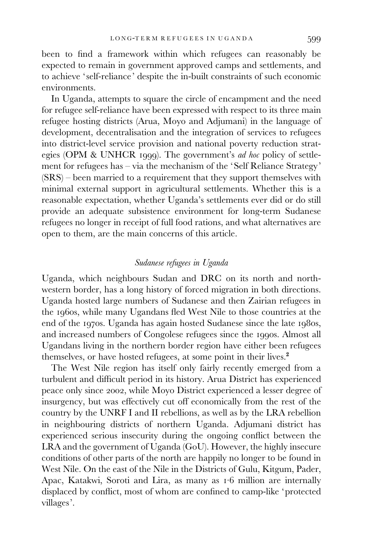been to find a framework within which refugees can reasonably be expected to remain in government approved camps and settlements, and to achieve ' self-reliance' despite the in-built constraints of such economic environments.

In Uganda, attempts to square the circle of encampment and the need for refugee self-reliance have been expressed with respect to its three main refugee hosting districts (Arua, Moyo and Adjumani) in the language of development, decentralisation and the integration of services to refugees into district-level service provision and national poverty reduction strategies (OPM & UNHCR 1999). The government's ad hoc policy of settlement for refugees has – via the mechanism of the 'Self Reliance Strategy' (SRS) – been married to a requirement that they support themselves with minimal external support in agricultural settlements. Whether this is a reasonable expectation, whether Uganda's settlements ever did or do still provide an adequate subsistence environment for long-term Sudanese refugees no longer in receipt of full food rations, and what alternatives are open to them, are the main concerns of this article.

# Sudanese refugees in Uganda

Uganda, which neighbours Sudan and DRC on its north and northwestern border, has a long history of forced migration in both directions. Uganda hosted large numbers of Sudanese and then Zairian refugees in the 1960s, while many Ugandans fled West Nile to those countries at the end of the 1970s. Uganda has again hosted Sudanese since the late 1980s, and increased numbers of Congolese refugees since the 1990s. Almost all Ugandans living in the northern border region have either been refugees themselves, or have hosted refugees, at some point in their lives.<sup>2</sup>

The West Nile region has itself only fairly recently emerged from a turbulent and difficult period in its history. Arua District has experienced peace only since 2002, while Moyo District experienced a lesser degree of insurgency, but was effectively cut off economically from the rest of the country by the UNRF I and II rebellions, as well as by the LRA rebellion in neighbouring districts of northern Uganda. Adjumani district has experienced serious insecurity during the ongoing conflict between the LRA and the government of Uganda (GoU). However, the highly insecure conditions of other parts of the north are happily no longer to be found in West Nile. On the east of the Nile in the Districts of Gulu, Kitgum, Pader, Apac, Katakwi, Soroti and Lira, as many as 1. 6 million are internally displaced by conflict, most of whom are confined to camp-like 'protected villages'.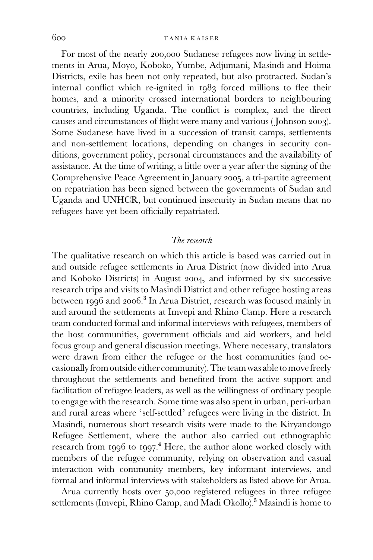For most of the nearly 200,000 Sudanese refugees now living in settlements in Arua, Moyo, Koboko, Yumbe, Adjumani, Masindi and Hoima Districts, exile has been not only repeated, but also protracted. Sudan's internal conflict which re-ignited in 1983 forced millions to flee their homes, and a minority crossed international borders to neighbouring countries, including Uganda. The conflict is complex, and the direct causes and circumstances of flight were many and various ( Johnson 2003). Some Sudanese have lived in a succession of transit camps, settlements and non-settlement locations, depending on changes in security conditions, government policy, personal circumstances and the availability of assistance. At the time of writing, a little over a year after the signing of the Comprehensive Peace Agreement in January 2005, a tri-partite agreement on repatriation has been signed between the governments of Sudan and Uganda and UNHCR, but continued insecurity in Sudan means that no refugees have yet been officially repatriated.

# The research

The qualitative research on which this article is based was carried out in and outside refugee settlements in Arua District (now divided into Arua and Koboko Districts) in August 2004, and informed by six successive research trips and visits to Masindi District and other refugee hosting areas between 1996 and 2006.<sup>3</sup> In Arua District, research was focused mainly in and around the settlements at Imvepi and Rhino Camp. Here a research team conducted formal and informal interviews with refugees, members of the host communities, government officials and aid workers, and held focus group and general discussion meetings. Where necessary, translators were drawn from either the refugee or the host communities (and occasionallyfrom outside either community).Theteamwas abletomovefreely throughout the settlements and benefited from the active support and facilitation of refugee leaders, as well as the willingness of ordinary people to engage with the research. Some time was also spent in urban, peri-urban and rural areas where ' self-settled' refugees were living in the district. In Masindi, numerous short research visits were made to the Kiryandongo Refugee Settlement, where the author also carried out ethnographic research from 1996 to 1997.<sup>4</sup> Here, the author alone worked closely with members of the refugee community, relying on observation and casual interaction with community members, key informant interviews, and formal and informal interviews with stakeholders as listed above for Arua.

Arua currently hosts over 50,000 registered refugees in three refugee settlements (Imvepi, Rhino Camp, and Madi Okollo).<sup>5</sup> Masindi is home to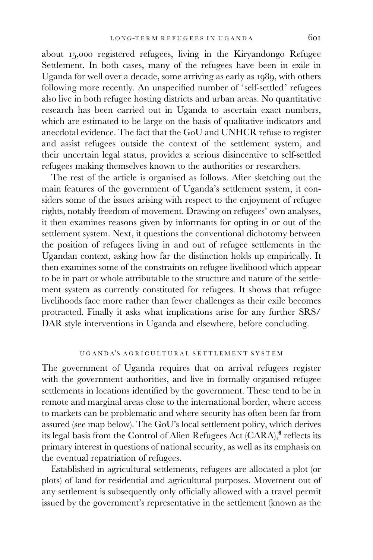about 15,000 registered refugees, living in the Kiryandongo Refugee Settlement. In both cases, many of the refugees have been in exile in Uganda for well over a decade, some arriving as early as 1989, with others following more recently. An unspecified number of ' self-settled' refugees also live in both refugee hosting districts and urban areas. No quantitative research has been carried out in Uganda to ascertain exact numbers, which are estimated to be large on the basis of qualitative indicators and anecdotal evidence. The fact that the GoU and UNHCR refuse to register and assist refugees outside the context of the settlement system, and their uncertain legal status, provides a serious disincentive to self-settled refugees making themselves known to the authorities or researchers.

The rest of the article is organised as follows. After sketching out the main features of the government of Uganda's settlement system, it considers some of the issues arising with respect to the enjoyment of refugee rights, notably freedom of movement. Drawing on refugees' own analyses, it then examines reasons given by informants for opting in or out of the settlement system. Next, it questions the conventional dichotomy between the position of refugees living in and out of refugee settlements in the Ugandan context, asking how far the distinction holds up empirically. It then examines some of the constraints on refugee livelihood which appear to be in part or whole attributable to the structure and nature of the settlement system as currently constituted for refugees. It shows that refugee livelihoods face more rather than fewer challenges as their exile becomes protracted. Finally it asks what implications arise for any further SRS/ DAR style interventions in Uganda and elsewhere, before concluding.

# UGANDA'S AGRICULTURAL SETTLEMENT SYSTEM

The government of Uganda requires that on arrival refugees register with the government authorities, and live in formally organised refugee settlements in locations identified by the government. These tend to be in remote and marginal areas close to the international border, where access to markets can be problematic and where security has often been far from assured (see map below). The GoU's local settlement policy, which derives its legal basis from the Control of Alien Refugees Act  $(CARA)^6$  reflects its primary interest in questions of national security, as well as its emphasis on the eventual repatriation of refugees.

Established in agricultural settlements, refugees are allocated a plot (or plots) of land for residential and agricultural purposes. Movement out of any settlement is subsequently only officially allowed with a travel permit issued by the government's representative in the settlement (known as the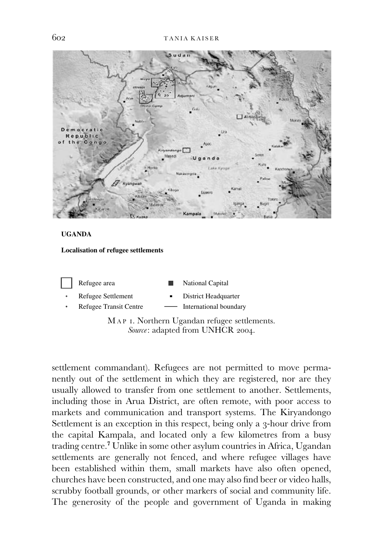

# **UGANDA**

**Localisation of refugee settlements**

| Refugee area | <b>National Capital</b> |
|--------------|-------------------------|
|              |                         |

Refugee Settlement

District Headquarter

Refugee Transit Centre

- International boundary

MAP I. Northern Ugandan refugee settlements. Source: adapted from UNHCR 2004.

settlement commandant). Refugees are not permitted to move permanently out of the settlement in which they are registered, nor are they usually allowed to transfer from one settlement to another. Settlements, including those in Arua District, are often remote, with poor access to markets and communication and transport systems. The Kiryandongo Settlement is an exception in this respect, being only a 3-hour drive from the capital Kampala, and located only a few kilometres from a busy trading centre.<sup>7</sup> Unlike in some other asylum countries in Africa, Ugandan settlements are generally not fenced, and where refugee villages have been established within them, small markets have also often opened, churches have been constructed, and one may also find beer or video halls, scrubby football grounds, or other markers of social and community life. The generosity of the people and government of Uganda in making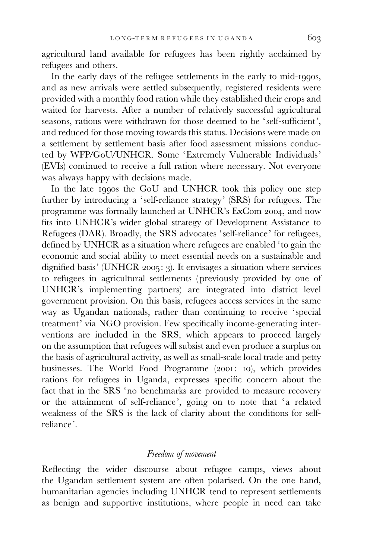agricultural land available for refugees has been rightly acclaimed by refugees and others.

In the early days of the refugee settlements in the early to mid-1990s, and as new arrivals were settled subsequently, registered residents were provided with a monthly food ration while they established their crops and waited for harvests. After a number of relatively successful agricultural seasons, rations were withdrawn for those deemed to be 'self-sufficient', and reduced for those moving towards this status. Decisions were made on a settlement by settlement basis after food assessment missions conducted by WFP/GoU/UNHCR. Some 'Extremely Vulnerable Individuals' (EVIs) continued to receive a full ration where necessary. Not everyone was always happy with decisions made.

In the late 1990s the GoU and UNHCR took this policy one step further by introducing a 'self-reliance strategy' (SRS) for refugees. The programme was formally launched at UNHCR's ExCom 2004, and now fits into UNHCR's wider global strategy of Development Assistance to Refugees (DAR). Broadly, the SRS advocates ' self-reliance' for refugees, defined by UNHCR as a situation where refugees are enabled 'to gain the economic and social ability to meet essential needs on a sustainable and dignified basis' (UNHCR 2005: 3). It envisages a situation where services to refugees in agricultural settlements ( previously provided by one of UNHCR's implementing partners) are integrated into district level government provision. On this basis, refugees access services in the same way as Ugandan nationals, rather than continuing to receive ' special treatment' via NGO provision. Few specifically income-generating interventions are included in the SRS, which appears to proceed largely on the assumption that refugees will subsist and even produce a surplus on the basis of agricultural activity, as well as small-scale local trade and petty businesses. The World Food Programme (2001: 10), which provides rations for refugees in Uganda, expresses specific concern about the fact that in the SRS 'no benchmarks are provided to measure recovery or the attainment of self-reliance', going on to note that 'a related weakness of the SRS is the lack of clarity about the conditions for selfreliance'.

# Freedom of movement

Reflecting the wider discourse about refugee camps, views about the Ugandan settlement system are often polarised. On the one hand, humanitarian agencies including UNHCR tend to represent settlements as benign and supportive institutions, where people in need can take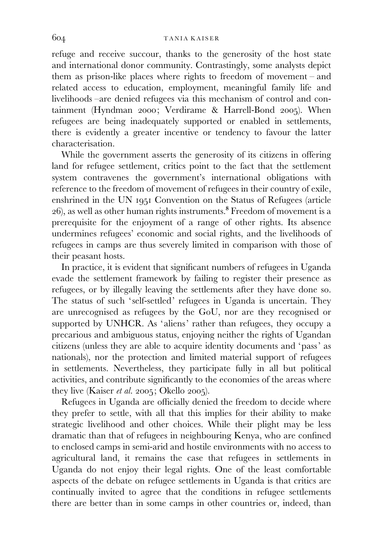refuge and receive succour, thanks to the generosity of the host state and international donor community. Contrastingly, some analysts depict them as prison-like places where rights to freedom of movement – and related access to education, employment, meaningful family life and livelihoods –are denied refugees via this mechanism of control and containment (Hyndman 2000; Verdirame & Harrell-Bond 2005). When refugees are being inadequately supported or enabled in settlements, there is evidently a greater incentive or tendency to favour the latter characterisation.

While the government asserts the generosity of its citizens in offering land for refugee settlement, critics point to the fact that the settlement system contravenes the government's international obligations with reference to the freedom of movement of refugees in their country of exile, enshrined in the UN 1951 Convention on the Status of Refugees (article 26), as well as other human rights instruments.<sup>8</sup> Freedom of movement is a prerequisite for the enjoyment of a range of other rights. Its absence undermines refugees' economic and social rights, and the livelihoods of refugees in camps are thus severely limited in comparison with those of their peasant hosts.

In practice, it is evident that significant numbers of refugees in Uganda evade the settlement framework by failing to register their presence as refugees, or by illegally leaving the settlements after they have done so. The status of such ' self-settled' refugees in Uganda is uncertain. They are unrecognised as refugees by the GoU, nor are they recognised or supported by UNHCR. As 'aliens' rather than refugees, they occupy a precarious and ambiguous status, enjoying neither the rights of Ugandan citizens (unless they are able to acquire identity documents and 'pass' as nationals), nor the protection and limited material support of refugees in settlements. Nevertheless, they participate fully in all but political activities, and contribute significantly to the economies of the areas where they live (Kaiser et al. 2005; Okello 2005).

Refugees in Uganda are officially denied the freedom to decide where they prefer to settle, with all that this implies for their ability to make strategic livelihood and other choices. While their plight may be less dramatic than that of refugees in neighbouring Kenya, who are confined to enclosed camps in semi-arid and hostile environments with no access to agricultural land, it remains the case that refugees in settlements in Uganda do not enjoy their legal rights. One of the least comfortable aspects of the debate on refugee settlements in Uganda is that critics are continually invited to agree that the conditions in refugee settlements there are better than in some camps in other countries or, indeed, than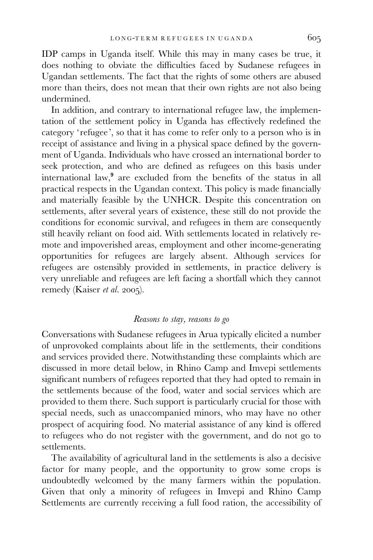IDP camps in Uganda itself. While this may in many cases be true, it does nothing to obviate the difficulties faced by Sudanese refugees in Ugandan settlements. The fact that the rights of some others are abused more than theirs, does not mean that their own rights are not also being undermined.

In addition, and contrary to international refugee law, the implementation of the settlement policy in Uganda has effectively redefined the category ' refugee', so that it has come to refer only to a person who is in receipt of assistance and living in a physical space defined by the government of Uganda. Individuals who have crossed an international border to seek protection, and who are defined as refugees on this basis under international law,<sup>9</sup> are excluded from the benefits of the status in all practical respects in the Ugandan context. This policy is made financially and materially feasible by the UNHCR. Despite this concentration on settlements, after several years of existence, these still do not provide the conditions for economic survival, and refugees in them are consequently still heavily reliant on food aid. With settlements located in relatively remote and impoverished areas, employment and other income-generating opportunities for refugees are largely absent. Although services for refugees are ostensibly provided in settlements, in practice delivery is very unreliable and refugees are left facing a shortfall which they cannot remedy (Kaiser et al. 2005).

# Reasons to stay, reasons to go

Conversations with Sudanese refugees in Arua typically elicited a number of unprovoked complaints about life in the settlements, their conditions and services provided there. Notwithstanding these complaints which are discussed in more detail below, in Rhino Camp and Imvepi settlements significant numbers of refugees reported that they had opted to remain in the settlements because of the food, water and social services which are provided to them there. Such support is particularly crucial for those with special needs, such as unaccompanied minors, who may have no other prospect of acquiring food. No material assistance of any kind is offered to refugees who do not register with the government, and do not go to settlements.

The availability of agricultural land in the settlements is also a decisive factor for many people, and the opportunity to grow some crops is undoubtedly welcomed by the many farmers within the population. Given that only a minority of refugees in Imvepi and Rhino Camp Settlements are currently receiving a full food ration, the accessibility of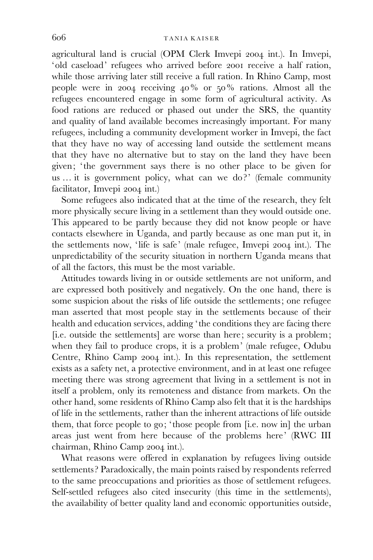agricultural land is crucial (OPM Clerk Imvepi 2004 int.). In Imvepi, 'old caseload' refugees who arrived before 2001 receive a half ration, while those arriving later still receive a full ration. In Rhino Camp, most people were in 2004 receiving 40% or 50% rations. Almost all the refugees encountered engage in some form of agricultural activity. As food rations are reduced or phased out under the SRS, the quantity and quality of land available becomes increasingly important. For many refugees, including a community development worker in Imvepi, the fact that they have no way of accessing land outside the settlement means that they have no alternative but to stay on the land they have been given; 'the government says there is no other place to be given for us … it is government policy, what can we do?' (female community facilitator, Imvepi 2004 int.)

Some refugees also indicated that at the time of the research, they felt more physically secure living in a settlement than they would outside one. This appeared to be partly because they did not know people or have contacts elsewhere in Uganda, and partly because as one man put it, in the settlements now, 'life is safe' (male refugee, Imvepi 2004 int.). The unpredictability of the security situation in northern Uganda means that of all the factors, this must be the most variable.

Attitudes towards living in or outside settlements are not uniform, and are expressed both positively and negatively. On the one hand, there is some suspicion about the risks of life outside the settlements; one refugee man asserted that most people stay in the settlements because of their health and education services, adding 'the conditions they are facing there [i.e. outside the settlements] are worse than here; security is a problem; when they fail to produce crops, it is a problem' (male refugee, Odubu Centre, Rhino Camp 2004 int.). In this representation, the settlement exists as a safety net, a protective environment, and in at least one refugee meeting there was strong agreement that living in a settlement is not in itself a problem, only its remoteness and distance from markets. On the other hand, some residents of Rhino Camp also felt that it is the hardships of life in the settlements, rather than the inherent attractions of life outside them, that force people to go; 'those people from [i.e. now in] the urban areas just went from here because of the problems here' (RWC III chairman, Rhino Camp 2004 int.).

What reasons were offered in explanation by refugees living outside settlements ? Paradoxically, the main points raised by respondents referred to the same preoccupations and priorities as those of settlement refugees. Self-settled refugees also cited insecurity (this time in the settlements), the availability of better quality land and economic opportunities outside,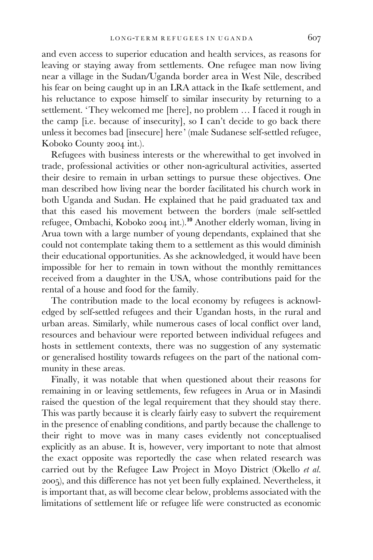and even access to superior education and health services, as reasons for leaving or staying away from settlements. One refugee man now living near a village in the Sudan/Uganda border area in West Nile, described his fear on being caught up in an LRA attack in the Ikafe settlement, and his reluctance to expose himself to similar insecurity by returning to a settlement. 'They welcomed me [here], no problem … I faced it rough in the camp [i.e. because of insecurity], so I can't decide to go back there unless it becomes bad [insecure] here' (male Sudanese self-settled refugee, Koboko County 2004 int.).

Refugees with business interests or the wherewithal to get involved in trade, professional activities or other non-agricultural activities, asserted their desire to remain in urban settings to pursue these objectives. One man described how living near the border facilitated his church work in both Uganda and Sudan. He explained that he paid graduated tax and that this eased his movement between the borders (male self-settled refugee, Ombachi, Koboko 2004 int.).<sup>10</sup> Another elderly woman, living in Arua town with a large number of young dependants, explained that she could not contemplate taking them to a settlement as this would diminish their educational opportunities. As she acknowledged, it would have been impossible for her to remain in town without the monthly remittances received from a daughter in the USA, whose contributions paid for the rental of a house and food for the family.

The contribution made to the local economy by refugees is acknowledged by self-settled refugees and their Ugandan hosts, in the rural and urban areas. Similarly, while numerous cases of local conflict over land, resources and behaviour were reported between individual refugees and hosts in settlement contexts, there was no suggestion of any systematic or generalised hostility towards refugees on the part of the national community in these areas.

Finally, it was notable that when questioned about their reasons for remaining in or leaving settlements, few refugees in Arua or in Masindi raised the question of the legal requirement that they should stay there. This was partly because it is clearly fairly easy to subvert the requirement in the presence of enabling conditions, and partly because the challenge to their right to move was in many cases evidently not conceptualised explicitly as an abuse. It is, however, very important to note that almost the exact opposite was reportedly the case when related research was carried out by the Refugee Law Project in Moyo District (Okello et al. 2005), and this difference has not yet been fully explained. Nevertheless, it is important that, as will become clear below, problems associated with the limitations of settlement life or refugee life were constructed as economic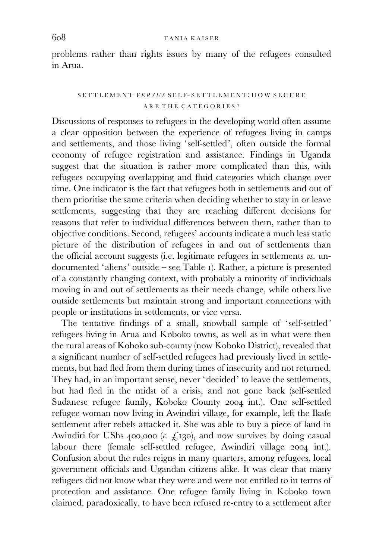problems rather than rights issues by many of the refugees consulted in Arua.

# SETTLEMENT VERSUS SELF-SETTLEMENT: HOW SECURE ARE THE CATEGORIES ?

Discussions of responses to refugees in the developing world often assume a clear opposition between the experience of refugees living in camps and settlements, and those living 'self-settled', often outside the formal economy of refugee registration and assistance. Findings in Uganda suggest that the situation is rather more complicated than this, with refugees occupying overlapping and fluid categories which change over time. One indicator is the fact that refugees both in settlements and out of them prioritise the same criteria when deciding whether to stay in or leave settlements, suggesting that they are reaching different decisions for reasons that refer to individual differences between them, rather than to objective conditions. Second, refugees' accounts indicate a much less static picture of the distribution of refugees in and out of settlements than the official account suggests (i.e. legitimate refugees in settlements vs. undocumented 'aliens' outside – see Table 1). Rather, a picture is presented of a constantly changing context, with probably a minority of individuals moving in and out of settlements as their needs change, while others live outside settlements but maintain strong and important connections with people or institutions in settlements, or vice versa.

The tentative findings of a small, snowball sample of 'self-settled' refugees living in Arua and Koboko towns, as well as in what were then the rural areas of Koboko sub-county (now Koboko District), revealed that a significant number of self-settled refugees had previously lived in settlements, but had fled from them during times of insecurity and not returned. They had, in an important sense, never 'decided' to leave the settlements, but had fled in the midst of a crisis, and not gone back (self-settled Sudanese refugee family, Koboko County 2004 int.). One self-settled refugee woman now living in Awindiri village, for example, left the Ikafe settlement after rebels attacked it. She was able to buy a piece of land in Awindiri for UShs  $400,000$  (c.  $\mathcal{L}130$ ), and now survives by doing casual labour there (female self-settled refugee, Awindiri village 2004 int.). Confusion about the rules reigns in many quarters, among refugees, local government officials and Ugandan citizens alike. It was clear that many refugees did not know what they were and were not entitled to in terms of protection and assistance. One refugee family living in Koboko town claimed, paradoxically, to have been refused re-entry to a settlement after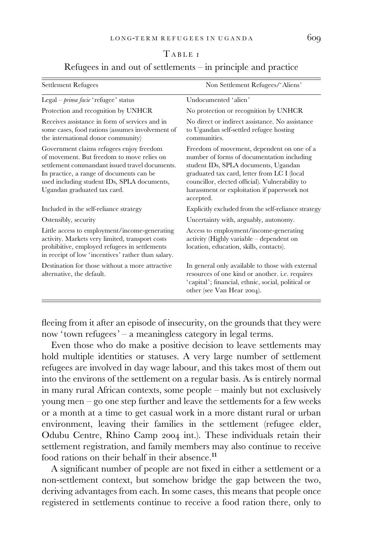| TABLE I                                                        |  |
|----------------------------------------------------------------|--|
| Refugees in and out of settlements – in principle and practice |  |

| <b>Settlement Refugees</b>                                                                                                                                                                                                                                         | Non Settlement Refugees/'Aliens'                                                                                                                                                                                                                                                               |
|--------------------------------------------------------------------------------------------------------------------------------------------------------------------------------------------------------------------------------------------------------------------|------------------------------------------------------------------------------------------------------------------------------------------------------------------------------------------------------------------------------------------------------------------------------------------------|
| Legal – $prima$ facie 'refugee' status                                                                                                                                                                                                                             | Undocumented 'alien'                                                                                                                                                                                                                                                                           |
| Protection and recognition by UNHCR                                                                                                                                                                                                                                | No protection or recognition by UNHCR                                                                                                                                                                                                                                                          |
| Receives assistance in form of services and in<br>some cases, food rations (assumes involvement of<br>the international donor community)                                                                                                                           | No direct or indirect assistance. No assistance<br>to Ugandan self-settled refugee hosting<br>communities.                                                                                                                                                                                     |
| Government claims refugees enjoy freedom<br>of movement. But freedom to move relies on<br>settlement commandant issued travel documents.<br>In practice, a range of documents can be<br>used including student IDs, SPLA documents,<br>Ugandan graduated tax card. | Freedom of movement, dependent on one of a<br>number of forms of documentation including<br>student IDs, SPLA documents, Ugandan<br>graduated tax card, letter from LC I (local<br>councillor, elected official). Vulnerability to<br>harassment or exploitation if paperwork not<br>accepted. |
| Included in the self-reliance strategy                                                                                                                                                                                                                             | Explicitly excluded from the self-reliance strategy                                                                                                                                                                                                                                            |
| Ostensibly, security                                                                                                                                                                                                                                               | Uncertainty with, arguably, autonomy.                                                                                                                                                                                                                                                          |
| Little access to employment/income-generating<br>activity. Markets very limited, transport costs<br>prohibitive, employed refugees in settlements<br>in receipt of low 'incentives' rather than salary.                                                            | Access to employment/income-generating<br>activity (Highly variable – dependent on<br>location, education, skills, contacts).                                                                                                                                                                  |
| Destination for those without a more attractive<br>alternative, the default.                                                                                                                                                                                       | In general only available to those with external<br>resources of one kind or another, i.e. requires<br>'capital'; financial, ethnic, social, political or<br>other (see Van Hear 2004).                                                                                                        |

fleeing from it after an episode of insecurity, on the grounds that they were now 'town refugees' – a meaningless category in legal terms.

Even those who do make a positive decision to leave settlements may hold multiple identities or statuses. A very large number of settlement refugees are involved in day wage labour, and this takes most of them out into the environs of the settlement on a regular basis. As is entirely normal in many rural African contexts, some people – mainly but not exclusively young men – go one step further and leave the settlements for a few weeks or a month at a time to get casual work in a more distant rural or urban environment, leaving their families in the settlement (refugee elder, Odubu Centre, Rhino Camp 2004 int.). These individuals retain their settlement registration, and family members may also continue to receive food rations on their behalf in their absence.<sup>11</sup>

A significant number of people are not fixed in either a settlement or a non-settlement context, but somehow bridge the gap between the two, deriving advantages from each. In some cases, this means that people once registered in settlements continue to receive a food ration there, only to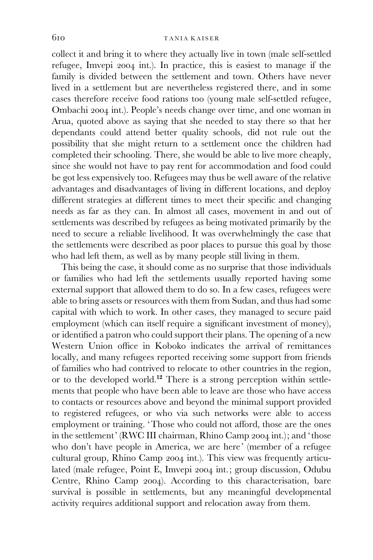collect it and bring it to where they actually live in town (male self-settled refugee, Imvepi 2004 int.). In practice, this is easiest to manage if the family is divided between the settlement and town. Others have never lived in a settlement but are nevertheless registered there, and in some cases therefore receive food rations too (young male self-settled refugee, Ombachi 2004 int.). People's needs change over time, and one woman in Arua, quoted above as saying that she needed to stay there so that her dependants could attend better quality schools, did not rule out the possibility that she might return to a settlement once the children had completed their schooling. There, she would be able to live more cheaply, since she would not have to pay rent for accommodation and food could be got less expensively too. Refugees may thus be well aware of the relative advantages and disadvantages of living in different locations, and deploy different strategies at different times to meet their specific and changing needs as far as they can. In almost all cases, movement in and out of settlements was described by refugees as being motivated primarily by the need to secure a reliable livelihood. It was overwhelmingly the case that the settlements were described as poor places to pursue this goal by those who had left them, as well as by many people still living in them.

This being the case, it should come as no surprise that those individuals or families who had left the settlements usually reported having some external support that allowed them to do so. In a few cases, refugees were able to bring assets or resources with them from Sudan, and thus had some capital with which to work. In other cases, they managed to secure paid employment (which can itself require a significant investment of money), or identified a patron who could support their plans. The opening of a new Western Union office in Koboko indicates the arrival of remittances locally, and many refugees reported receiving some support from friends of families who had contrived to relocate to other countries in the region, or to the developed world.<sup>12</sup> There is a strong perception within settlements that people who have been able to leave are those who have access to contacts or resources above and beyond the minimal support provided to registered refugees, or who via such networks were able to access employment or training. 'Those who could not afford, those are the ones in the settlement' (RWC III chairman, Rhino Camp 2004 int.); and 'those who don't have people in America, we are here' (member of a refugee cultural group, Rhino Camp 2004 int.). This view was frequently articulated (male refugee, Point E, Imvepi 2004 int.; group discussion, Odubu Centre, Rhino Camp 2004). According to this characterisation, bare survival is possible in settlements, but any meaningful developmental activity requires additional support and relocation away from them.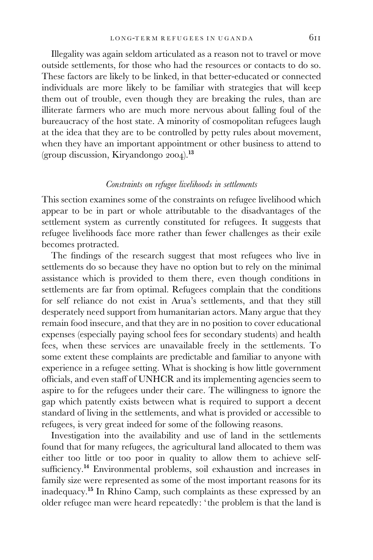Illegality was again seldom articulated as a reason not to travel or move outside settlements, for those who had the resources or contacts to do so. These factors are likely to be linked, in that better-educated or connected individuals are more likely to be familiar with strategies that will keep them out of trouble, even though they are breaking the rules, than are illiterate farmers who are much more nervous about falling foul of the bureaucracy of the host state. A minority of cosmopolitan refugees laugh at the idea that they are to be controlled by petty rules about movement, when they have an important appointment or other business to attend to (group discussion, Kiryandongo 2004).<sup>13</sup>

# Constraints on refugee livelihoods in settlements

This section examines some of the constraints on refugee livelihood which appear to be in part or whole attributable to the disadvantages of the settlement system as currently constituted for refugees. It suggests that refugee livelihoods face more rather than fewer challenges as their exile becomes protracted.

The findings of the research suggest that most refugees who live in settlements do so because they have no option but to rely on the minimal assistance which is provided to them there, even though conditions in settlements are far from optimal. Refugees complain that the conditions for self reliance do not exist in Arua's settlements, and that they still desperately need support from humanitarian actors. Many argue that they remain food insecure, and that they are in no position to cover educational expenses (especially paying school fees for secondary students) and health fees, when these services are unavailable freely in the settlements. To some extent these complaints are predictable and familiar to anyone with experience in a refugee setting. What is shocking is how little government officials, and even staff of UNHCR and its implementing agencies seem to aspire to for the refugees under their care. The willingness to ignore the gap which patently exists between what is required to support a decent standard of living in the settlements, and what is provided or accessible to refugees, is very great indeed for some of the following reasons.

Investigation into the availability and use of land in the settlements found that for many refugees, the agricultural land allocated to them was either too little or too poor in quality to allow them to achieve selfsufficiency.<sup>14</sup> Environmental problems, soil exhaustion and increases in family size were represented as some of the most important reasons for its inadequacy.<sup>15</sup> In Rhino Camp, such complaints as these expressed by an older refugee man were heard repeatedly: 'the problem is that the land is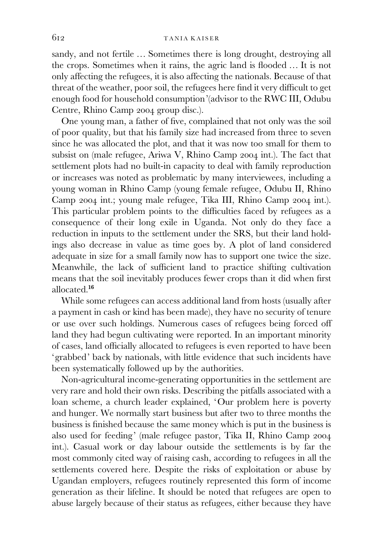sandy, and not fertile … Sometimes there is long drought, destroying all the crops. Sometimes when it rains, the agric land is flooded … It is not only affecting the refugees, it is also affecting the nationals. Because of that threat of the weather, poor soil, the refugees here find it very difficult to get enough food for household consumption'(advisor to the RWC III, Odubu Centre, Rhino Camp 2004 group disc.).

One young man, a father of five, complained that not only was the soil of poor quality, but that his family size had increased from three to seven since he was allocated the plot, and that it was now too small for them to subsist on (male refugee, Ariwa V, Rhino Camp 2004 int.). The fact that settlement plots had no built-in capacity to deal with family reproduction or increases was noted as problematic by many interviewees, including a young woman in Rhino Camp (young female refugee, Odubu II, Rhino Camp 2004 int.; young male refugee, Tika III, Rhino Camp 2004 int.). This particular problem points to the difficulties faced by refugees as a consequence of their long exile in Uganda. Not only do they face a reduction in inputs to the settlement under the SRS, but their land holdings also decrease in value as time goes by. A plot of land considered adequate in size for a small family now has to support one twice the size. Meanwhile, the lack of sufficient land to practice shifting cultivation means that the soil inevitably produces fewer crops than it did when first allocated.<sup>16</sup>

While some refugees can access additional land from hosts (usually after a payment in cash or kind has been made), they have no security of tenure or use over such holdings. Numerous cases of refugees being forced off land they had begun cultivating were reported. In an important minority of cases, land officially allocated to refugees is even reported to have been 'grabbed' back by nationals, with little evidence that such incidents have been systematically followed up by the authorities.

Non-agricultural income-generating opportunities in the settlement are very rare and hold their own risks. Describing the pitfalls associated with a loan scheme, a church leader explained, 'Our problem here is poverty and hunger. We normally start business but after two to three months the business is finished because the same money which is put in the business is also used for feeding' (male refugee pastor, Tika II, Rhino Camp 2004 int.). Casual work or day labour outside the settlements is by far the most commonly cited way of raising cash, according to refugees in all the settlements covered here. Despite the risks of exploitation or abuse by Ugandan employers, refugees routinely represented this form of income generation as their lifeline. It should be noted that refugees are open to abuse largely because of their status as refugees, either because they have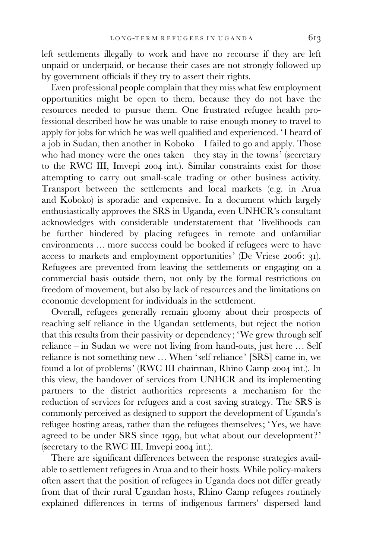left settlements illegally to work and have no recourse if they are left unpaid or underpaid, or because their cases are not strongly followed up by government officials if they try to assert their rights.

Even professional people complain that they miss what few employment opportunities might be open to them, because they do not have the resources needed to pursue them. One frustrated refugee health professional described how he was unable to raise enough money to travel to apply for jobs for which he was well qualified and experienced. ' I heard of a job in Sudan, then another in Koboko – I failed to go and apply. Those who had money were the ones taken – they stay in the towns' (secretary to the RWC III, Imvepi 2004 int.). Similar constraints exist for those attempting to carry out small-scale trading or other business activity. Transport between the settlements and local markets (e.g. in Arua and Koboko) is sporadic and expensive. In a document which largely enthusiastically approves the SRS in Uganda, even UNHCR's consultant acknowledges with considerable understatement that 'livelihoods can be further hindered by placing refugees in remote and unfamiliar environments … more success could be booked if refugees were to have access to markets and employment opportunities' (De Vriese 2006: 31). Refugees are prevented from leaving the settlements or engaging on a commercial basis outside them, not only by the formal restrictions on freedom of movement, but also by lack of resources and the limitations on economic development for individuals in the settlement.

Overall, refugees generally remain gloomy about their prospects of reaching self reliance in the Ugandan settlements, but reject the notion that this results from their passivity or dependency; 'We grew through self reliance – in Sudan we were not living from hand-outs, just here … Self reliance is not something new … When ' self reliance' [SRS] came in, we found a lot of problems' (RWC III chairman, Rhino Camp 2004 int.). In this view, the handover of services from UNHCR and its implementing partners to the district authorities represents a mechanism for the reduction of services for refugees and a cost saving strategy. The SRS is commonly perceived as designed to support the development of Uganda's refugee hosting areas, rather than the refugees themselves; 'Yes, we have agreed to be under SRS since 1999, but what about our development?' (secretary to the RWC III, Imvepi 2004 int.).

There are significant differences between the response strategies available to settlement refugees in Arua and to their hosts. While policy-makers often assert that the position of refugees in Uganda does not differ greatly from that of their rural Ugandan hosts, Rhino Camp refugees routinely explained differences in terms of indigenous farmers' dispersed land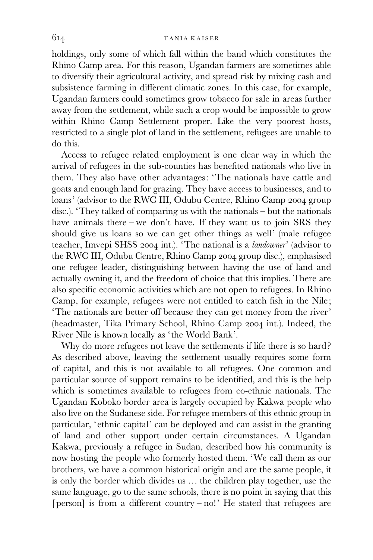holdings, only some of which fall within the band which constitutes the Rhino Camp area. For this reason, Ugandan farmers are sometimes able to diversify their agricultural activity, and spread risk by mixing cash and subsistence farming in different climatic zones. In this case, for example, Ugandan farmers could sometimes grow tobacco for sale in areas further away from the settlement, while such a crop would be impossible to grow within Rhino Camp Settlement proper. Like the very poorest hosts, restricted to a single plot of land in the settlement, refugees are unable to do this.

Access to refugee related employment is one clear way in which the arrival of refugees in the sub-counties has benefited nationals who live in them. They also have other advantages: 'The nationals have cattle and goats and enough land for grazing. They have access to businesses, and to loans' (advisor to the RWC III, Odubu Centre, Rhino Camp 2004 group disc.). 'They talked of comparing us with the nationals – but the nationals have animals there – we don't have. If they want us to join SRS they should give us loans so we can get other things as well' (male refugee teacher, Imvepi SHSS 2004 int.). 'The national is a landowner' (advisor to the RWC III, Odubu Centre, Rhino Camp 2004 group disc.), emphasised one refugee leader, distinguishing between having the use of land and actually owning it, and the freedom of choice that this implies. There are also specific economic activities which are not open to refugees. In Rhino Camp, for example, refugees were not entitled to catch fish in the Nile; 'The nationals are better off because they can get money from the river' (headmaster, Tika Primary School, Rhino Camp 2004 int.). Indeed, the River Nile is known locally as 'the World Bank'.

Why do more refugees not leave the settlements if life there is so hard? As described above, leaving the settlement usually requires some form of capital, and this is not available to all refugees. One common and particular source of support remains to be identified, and this is the help which is sometimes available to refugees from co-ethnic nationals. The Ugandan Koboko border area is largely occupied by Kakwa people who also live on the Sudanese side. For refugee members of this ethnic group in particular, 'ethnic capital' can be deployed and can assist in the granting of land and other support under certain circumstances. A Ugandan Kakwa, previously a refugee in Sudan, described how his community is now hosting the people who formerly hosted them. 'We call them as our brothers, we have a common historical origin and are the same people, it is only the border which divides us … the children play together, use the same language, go to the same schools, there is no point in saying that this [ $person$ ] is from a different country – no!' He stated that refugees are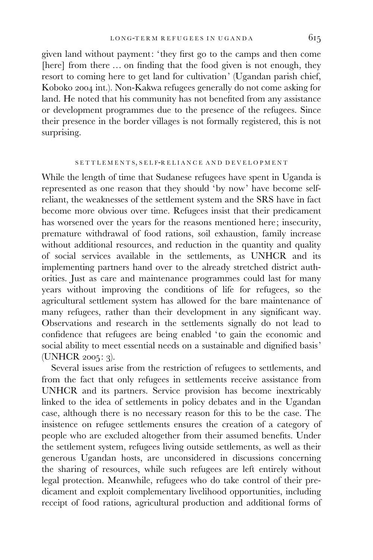given land without payment: 'they first go to the camps and then come [here] from there ... on finding that the food given is not enough, they resort to coming here to get land for cultivation' (Ugandan parish chief, Koboko 2004 int.). Non-Kakwa refugees generally do not come asking for land. He noted that his community has not benefited from any assistance or development programmes due to the presence of the refugees. Since their presence in the border villages is not formally registered, this is not surprising.

#### SETTLEMENTS, SELF-RELIANCE AND DEVELOPMENT

While the length of time that Sudanese refugees have spent in Uganda is represented as one reason that they should 'by now' have become selfreliant, the weaknesses of the settlement system and the SRS have in fact become more obvious over time. Refugees insist that their predicament has worsened over the years for the reasons mentioned here; insecurity, premature withdrawal of food rations, soil exhaustion, family increase without additional resources, and reduction in the quantity and quality of social services available in the settlements, as UNHCR and its implementing partners hand over to the already stretched district authorities. Just as care and maintenance programmes could last for many years without improving the conditions of life for refugees, so the agricultural settlement system has allowed for the bare maintenance of many refugees, rather than their development in any significant way. Observations and research in the settlements signally do not lead to confidence that refugees are being enabled 'to gain the economic and social ability to meet essential needs on a sustainable and dignified basis' (UNHCR 2005: 3).

Several issues arise from the restriction of refugees to settlements, and from the fact that only refugees in settlements receive assistance from UNHCR and its partners. Service provision has become inextricably linked to the idea of settlements in policy debates and in the Ugandan case, although there is no necessary reason for this to be the case. The insistence on refugee settlements ensures the creation of a category of people who are excluded altogether from their assumed benefits. Under the settlement system, refugees living outside settlements, as well as their generous Ugandan hosts, are unconsidered in discussions concerning the sharing of resources, while such refugees are left entirely without legal protection. Meanwhile, refugees who do take control of their predicament and exploit complementary livelihood opportunities, including receipt of food rations, agricultural production and additional forms of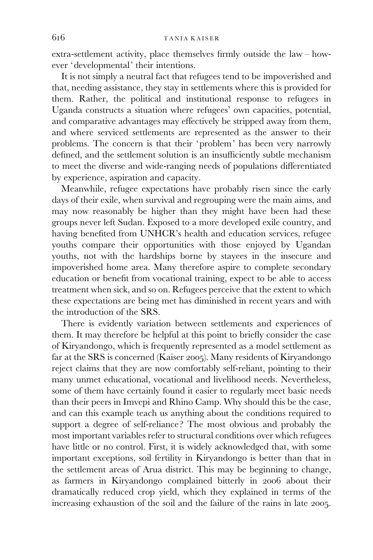extra-settlement activity, place themselves firmly outside the law – however 'developmental' their intentions.

It is not simply a neutral fact that refugees tend to be impoverished and that, needing assistance, they stay in settlements where this is provided for them. Rather, the political and institutional response to refugees in Uganda constructs a situation where refugees' own capacities, potential, and comparative advantages may effectively be stripped away from them, and where serviced settlements are represented as the answer to their problems. The concern is that their 'problem' has been very narrowly defined, and the settlement solution is an insufficiently subtle mechanism to meet the diverse and wide-ranging needs of populations differentiated by experience, aspiration and capacity.

Meanwhile, refugee expectations have probably risen since the early days of their exile, when survival and regrouping were the main aims, and may now reasonably be higher than they might have been had these groups never left Sudan. Exposed to a more developed exile country, and having benefited from UNHCR's health and education services, refugee youths compare their opportunities with those enjoyed by Ugandan youths, not with the hardships borne by stayees in the insecure and impoverished home area. Many therefore aspire to complete secondary education or benefit from vocational training, expect to be able to access treatment when sick, and so on. Refugees perceive that the extent to which these expectations are being met has diminished in recent years and with the introduction of the SRS.

There is evidently variation between settlements and experiences of them. It may therefore be helpful at this point to briefly consider the case of Kiryandongo, which is frequently represented as a model settlement as far at the SRS is concerned (Kaiser 2005). Many residents of Kiryandongo reject claims that they are now comfortably self-reliant, pointing to their many unmet educational, vocational and livelihood needs. Nevertheless, some of them have certainly found it easier to regularly meet basic needs than their peers in Imvepi and Rhino Camp. Why should this be the case, and can this example teach us anything about the conditions required to support a degree of self-reliance? The most obvious and probably the most important variables refer to structural conditions over which refugees have little or no control. First, it is widely acknowledged that, with some important exceptions, soil fertility in Kiryandongo is better than that in the settlement areas of Arua district. This may be beginning to change, as farmers in Kiryandongo complained bitterly in 2006 about their dramatically reduced crop yield, which they explained in terms of the increasing exhaustion of the soil and the failure of the rains in late 2005.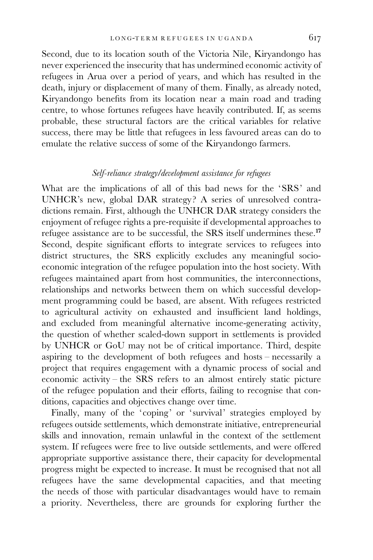Second, due to its location south of the Victoria Nile, Kiryandongo has never experienced the insecurity that has undermined economic activity of refugees in Arua over a period of years, and which has resulted in the death, injury or displacement of many of them. Finally, as already noted, Kiryandongo benefits from its location near a main road and trading centre, to whose fortunes refugees have heavily contributed. If, as seems probable, these structural factors are the critical variables for relative success, there may be little that refugees in less favoured areas can do to emulate the relative success of some of the Kiryandongo farmers.

# Self-reliance strategy/development assistance for refugees

What are the implications of all of this bad news for the 'SRS' and UNHCR's new, global DAR strategy? A series of unresolved contradictions remain. First, although the UNHCR DAR strategy considers the enjoyment of refugee rights a pre-requisite if developmental approaches to refugee assistance are to be successful, the SRS itself undermines these.<sup>17</sup> Second, despite significant efforts to integrate services to refugees into district structures, the SRS explicitly excludes any meaningful socioeconomic integration of the refugee population into the host society. With refugees maintained apart from host communities, the interconnections, relationships and networks between them on which successful development programming could be based, are absent. With refugees restricted to agricultural activity on exhausted and insufficient land holdings, and excluded from meaningful alternative income-generating activity, the question of whether scaled-down support in settlements is provided by UNHCR or GoU may not be of critical importance. Third, despite aspiring to the development of both refugees and hosts – necessarily a project that requires engagement with a dynamic process of social and economic activity – the SRS refers to an almost entirely static picture of the refugee population and their efforts, failing to recognise that conditions, capacities and objectives change over time.

Finally, many of the 'coping' or 'survival' strategies employed by refugees outside settlements, which demonstrate initiative, entrepreneurial skills and innovation, remain unlawful in the context of the settlement system. If refugees were free to live outside settlements, and were offered appropriate supportive assistance there, their capacity for developmental progress might be expected to increase. It must be recognised that not all refugees have the same developmental capacities, and that meeting the needs of those with particular disadvantages would have to remain a priority. Nevertheless, there are grounds for exploring further the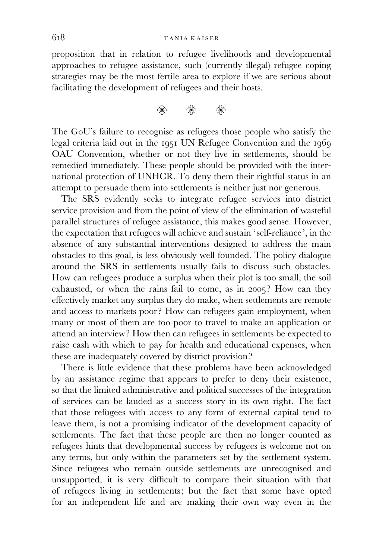proposition that in relation to refugee livelihoods and developmental approaches to refugee assistance, such (currently illegal) refugee coping strategies may be the most fertile area to explore if we are serious about facilitating the development of refugees and their hosts.



The GoU's failure to recognise as refugees those people who satisfy the legal criteria laid out in the 1951 UN Refugee Convention and the 1969 OAU Convention, whether or not they live in settlements, should be remedied immediately. These people should be provided with the international protection of UNHCR. To deny them their rightful status in an attempt to persuade them into settlements is neither just nor generous.

The SRS evidently seeks to integrate refugee services into district service provision and from the point of view of the elimination of wasteful parallel structures of refugee assistance, this makes good sense. However, the expectation that refugees will achieve and sustain ' self-reliance', in the absence of any substantial interventions designed to address the main obstacles to this goal, is less obviously well founded. The policy dialogue around the SRS in settlements usually fails to discuss such obstacles. How can refugees produce a surplus when their plot is too small, the soil exhausted, or when the rains fail to come, as in 2005 ? How can they effectively market any surplus they do make, when settlements are remote and access to markets poor? How can refugees gain employment, when many or most of them are too poor to travel to make an application or attend an interview? How then can refugees in settlements be expected to raise cash with which to pay for health and educational expenses, when these are inadequately covered by district provision?

There is little evidence that these problems have been acknowledged by an assistance regime that appears to prefer to deny their existence, so that the limited administrative and political successes of the integration of services can be lauded as a success story in its own right. The fact that those refugees with access to any form of external capital tend to leave them, is not a promising indicator of the development capacity of settlements. The fact that these people are then no longer counted as refugees hints that developmental success by refugees is welcome not on any terms, but only within the parameters set by the settlement system. Since refugees who remain outside settlements are unrecognised and unsupported, it is very difficult to compare their situation with that of refugees living in settlements; but the fact that some have opted for an independent life and are making their own way even in the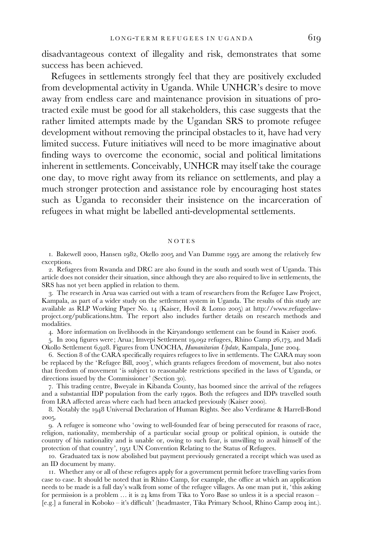disadvantageous context of illegality and risk, demonstrates that some success has been achieved.

Refugees in settlements strongly feel that they are positively excluded from developmental activity in Uganda. While UNHCR's desire to move away from endless care and maintenance provision in situations of protracted exile must be good for all stakeholders, this case suggests that the rather limited attempts made by the Ugandan SRS to promote refugee development without removing the principal obstacles to it, have had very limited success. Future initiatives will need to be more imaginative about finding ways to overcome the economic, social and political limitations inherent in settlements. Conceivably, UNHCR may itself take the courage one day, to move right away from its reliance on settlements, and play a much stronger protection and assistance role by encouraging host states such as Uganda to reconsider their insistence on the incarceration of refugees in what might be labelled anti-developmental settlements.

#### NOTES

1. Bakewell 2000, Hansen 1982, Okello 2005 and Van Damme 1995 are among the relatively few exceptions.

2. Refugees from Rwanda and DRC are also found in the south and south west of Uganda. This article does not consider their situation, since although they are also required to live in settlements, the SRS has not yet been applied in relation to them.

3. The research in Arua was carried out with a team of researchers from the Refugee Law Project, Kampala, as part of a wider study on the settlement system in Uganda. The results of this study are available as RLP Working Paper No. 14 (Kaiser, Hovil & Lomo 2005) at http://www.refugeelawproject.org/publications.htm. The report also includes further details on research methods and modalities.

4. More information on livelihoods in the Kiryandongo settlement can be found in Kaiser 2006.

5. In 2004 figures were; Arua; Imvepi Settlement 19,092 refugees, Rhino Camp 26,173, and Madi Okollo Settlement 6,928. Figures from UNOCHA, Humanitarian Update, Kampala, June 2004.

6. Section 8 of the CARA specifically requires refugees to live in settlements. The CARA may soon be replaced by the 'Refugee Bill, 2003', which grants refugees freedom of movement, but also notes that freedom of movement 'is subject to reasonable restrictions specified in the laws of Uganda, or directions issued by the Commissioner' (Section 30).

7. This trading centre, Bweyale in Kibanda County, has boomed since the arrival of the refugees and a substantial IDP population from the early 1990s. Both the refugees and IDPs travelled south from LRA affected areas where each had been attacked previously (Kaiser 2000).

8. Notably the 1948 Universal Declaration of Human Rights. See also Verdirame & Harrell-Bond 2005.

9. A refugee is someone who 'owing to well-founded fear of being persecuted for reasons of race, religion, nationality, membership of a particular social group or political opinion, is outside the country of his nationality and is unable or, owing to such fear, is unwilling to avail himself of the protection of that country', 1951 UN Convention Relating to the Status of Refugees.

10. Graduated tax is now abolished but payment previously generated a receipt which was used as an ID document by many.

11. Whether any or all of these refugees apply for a government permit before travelling varies from case to case. It should be noted that in Rhino Camp, for example, the office at which an application needs to be made is a full day's walk from some of the refugee villages. As one man put it, 'this asking for permission is a problem  $\ldots$  it is 24 kms from Tika to Yoro Base so unless it is a special reason – [e.g.] a funeral in Koboko – it's difficult' (headmaster, Tika Primary School, Rhino Camp 2004 int.).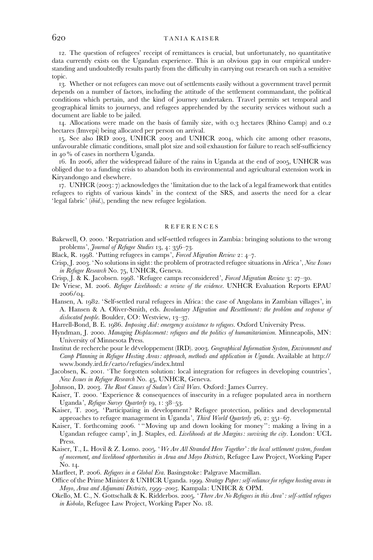12. The question of refugees' receipt of remittances is crucial, but unfortunately, no quantitative data currently exists on the Ugandan experience. This is an obvious gap in our empirical understanding and undoubtedly results partly from the difficulty in carrying out research on such a sensitive topic.

13. Whether or not refugees can move out of settlements easily without a government travel permit depends on a number of factors, including the attitude of the settlement commandant, the political conditions which pertain, and the kind of journey undertaken. Travel permits set temporal and geographical limits to journeys, and refugees apprehended by the security services without such a document are liable to be jailed.

14. Allocations were made on the basis of family size, with 0.3 hectares (Rhino Camp) and 0.2 hectares (Imvepi) being allocated per person on arrival.

15. See also IRD 2003, UNHCR 2003 and UNHCR 2004, which cite among other reasons, unfavourable climatic conditions, small plot size and soil exhaustion for failure to reach self-sufficiency in 40% of cases in northern Uganda.

16. In 2006, after the widespread failure of the rains in Uganda at the end of 2005, UNHCR was obliged due to a funding crisis to abandon both its environmental and agricultural extension work in Kiryandongo and elsewhere.

17. UNHCR (2003: 7) acknowledges the 'limitation due to the lack of a legal framework that entitles refugees to rights of various kinds' in the context of the SRS, and asserts the need for a clear 'legal fabric' (*ibid.*), pending the new refugee legislation.

#### REFERENCES

Bakewell, O. 2000. 'Repatriation and self-settled refugees in Zambia: bringing solutions to the wrong problems', Journal of Refugee Studies 13, 4: 356-73.

Black, R. 1998. 'Putting refugees in camps', Forced Migration Review 2: 4–7.

- Crisp, J. 2003. 'No solutions in sight: the problem of protracted refugee situations in Africa', New Issues in Refugee Research No. 75, UNHCR, Geneva.
- Crisp, J. & K. Jacobsen. 1998. 'Refugee camps reconsidered', Forced Migration Review 3: 27–30.
- De Vriese, M. 2006. Refugee Livelihoods: a review of the evidence. UNHCR Evaluation Reports EPAU 2006/04.
- Hansen, A. 1982. 'Self-settled rural refugees in Africa: the case of Angolans in Zambian villages', in A. Hansen & A. Oliver-Smith, eds. Involuntary Migration and Resettlement: the problem and response of dislocated people. Boulder, CO: Westview, 13-37.

Harrell-Bond, B. E. 1986. *Imposing Aid: emergency assistance to refugees*. Oxford University Press.

- Hyndman, J. 2000. Managing Displacement: refugees and the politics of humanitarianism. Minneapolis, MN: University of Minnesota Press.
- Institut de recherche pour le développement (IRD). 2003. Geographical Information System, Environment and Camp Planning in Refugee Hosting Areas: approach, methods and application in Uganda. Available at http:// www.bondy.ird.fr/carto/refugies/index.html
- Jacobsen, K. 2001. 'The forgotten solution: local integration for refugees in developing countries', New Issues in Refugee Research No. 45, UNHCR, Geneva.
- Johnson, D. 2003. The Root Causes of Sudan's Civil Wars. Oxford: James Currey.
- Kaiser, T. 2000. 'Experience & consequences of insecurity in a refugee populated area in northern Uganda', *Refugee Survey Quarterly* 19, 1: 38–53.
- Kaiser, T. 2005. 'Participating in development? Refugee protection, politics and developmental approaches to refugee management in Uganda', Third World Quarterly 26, 2: 351-67.
- Kaiser, T. forthcoming 2006. '"Moving up and down looking for money": making a living in a Ugandan refugee camp', in J. Staples, ed. Livelihoods at the Margins: surviving the city. London: UCL Press.
- Kaiser, T., L. Hovil & Z. Lomo. 2005. 'We Are All Stranded Here Together': the local settlement system, freedom of movement, and livelihood opportunities in Arua and Moyo Districts, Refugee Law Project, Working Paper No. 14.
- Marfleet, P. 2006. Refugees in a Global Era. Basingstoke: Palgrave Macmillan.
- Office of the Prime Minister & UNHCR Uganda. 1999. Strategy Paper: self-reliance for refugee hosting areas in Moyo, Arua and Adjumani Districts, 1999–2005. Kampala: UNHCR & OPM.
- Okello, M. C., N. Gottschalk & K. Ridderbos. 2005. 'There Are No Refugees in this Area': self-settled refugees in Koboko, Refugee Law Project, Working Paper No. 18.